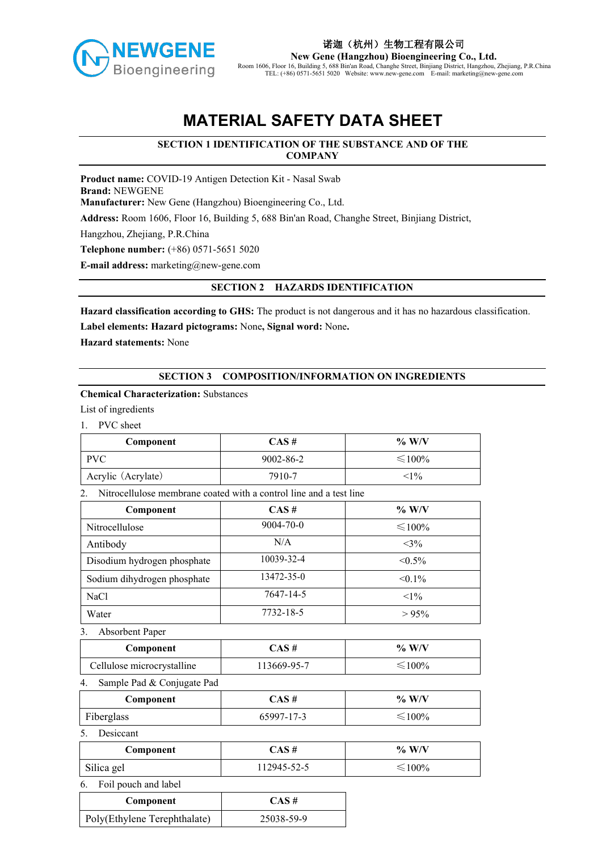

**New Gene (Hangzhou) Bioengineering Co., Ltd.** Room 1606, Floor 16,Building 5, 688 Bin'an Road, Changhe Street, Binjiang District, Hangzhou, Zhejiang, P.R.China TEL: (+86) 0571-5651 5020 Website: www.new-gene.com E-mail: marketing@new-gene.com

# **MATERIAL SAFETY DATA SHEET**

# **SECTION 1 IDENTIFICATION OF THE SUBSTANCE AND OF THE COMPANY**

**Product name:** COVID-19 Antigen Detection Kit - Nasal Swab **Brand:** NEWGENE **Manufacturer:** New Gene (Hangzhou) Bioengineering Co., Ltd. **Address:** Room 1606, Floor 16, Building 5, 688 Bin'an Road, Changhe Street, Binjiang District, Hangzhou, Zhejiang, P.R.China **Telephone number:** (+86) 0571-5651 5020 **E-mail address:** marketing@new-gene.com

## **SECTION 2 HAZARDS IDENTIFICATION**

**Hazard classification according to GHS:** The product is not dangerous and it has no hazardous classification.

**Label elements: Hazard pictograms:** None**, Signal word:** None**.**

**Hazard statements:** None

#### **SECTION 3 COMPOSITION/INFORMATION ON INGREDIENTS**

#### **Chemical Characterization:** Substances

List of ingredients

1. PVC sheet

| Component          | CAS #     | $\%$ W/V           |
|--------------------|-----------|--------------------|
| <b>PVC</b>         | 9002-86-2 | ${\leqslant}100\%$ |
| Acrylic (Acrylate) | 7910-7    | $\leq 1\%$         |

#### 2. Nitrocellulose membrane coated with a control line and a test line

| Component                   | $CAS \#$        | $\%$ W/V     |
|-----------------------------|-----------------|--------------|
| Nitrocellulose              | $9004 - 70 - 0$ | $\leq 100\%$ |
| Antibody                    | N/A             | $<3\%$       |
| Disodium hydrogen phosphate | 10039-32-4      | $< 0.5\%$    |
| Sodium dihydrogen phosphate | 13472-35-0      | $< 0.1\%$    |
| <b>NaCl</b>                 | 7647-14-5       | $<1\%$       |
| Water                       | 7732-18-5       | $> 95\%$     |

3. Absorbent Paper

| Component                 | $\sim$ $\sim$ $\sim$ | W/Y<br>$\frac{0}{0}$ |
|---------------------------|----------------------|----------------------|
| ellulose microcrystalline | $.13669 - 95 - 7$    | $100\%$              |

4. Sample Pad & Conjugate Pad

| Component  | <b>CAC 4</b><br>CAN # | , W/V<br>$\frac{0}{0}$ |
|------------|-----------------------|------------------------|
| Fiberglass | 65997-17-3            | 100%                   |

5. Desiccant

| Component            | $\sim$ $\mu$<br>AN 71 | W/V<br>$\frac{0}{0}$ |
|----------------------|-----------------------|----------------------|
| $\sim$<br>Silica gel | 12945<br>$\prime$ $-$ | $00\%$               |

6. Foil pouch and label

| Component                    | $CAS \#$   |
|------------------------------|------------|
| Poly(Ethylene Terephthalate) | 25038-59-9 |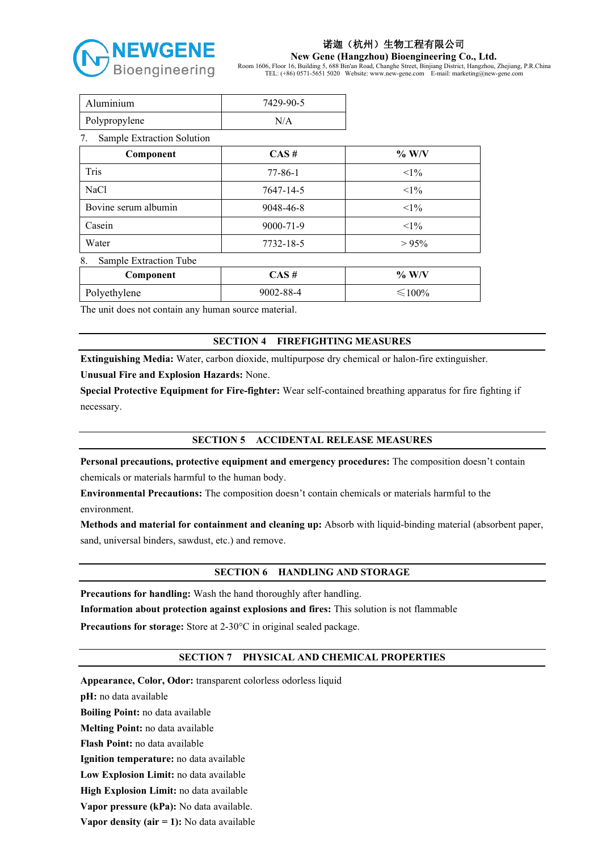

**New Gene (Hangzhou) Bioengineering Co., Ltd.**

Room 1606, Floor 16,Building 5, 688 Bin'an Road, Changhe Street, Binjiang District, Hangzhou, Zhejiang, P.R.China TEL: (+86) 0571-5651 5020 Website: www.new-gene.com E-mail: marketing@new-gene.com

| Aluminium                        | 7429-90-5     |              |
|----------------------------------|---------------|--------------|
| Polypropylene                    | N/A           |              |
| Sample Extraction Solution<br>7. |               |              |
| Component                        | CAS#          | $\%$ W/V     |
| Tris                             | $77 - 86 - 1$ | $<1\%$       |
| <b>NaCl</b>                      | 7647-14-5     | $<1\%$       |
| Bovine serum albumin             | 9048-46-8     | $<1\%$       |
| Casein                           | 9000-71-9     | $<1\%$       |
| Water                            | 7732-18-5     | $> 95\%$     |
| Sample Extraction Tube<br>8.     |               |              |
| Component                        | CAS#          | $\%$ W/V     |
| Polyethylene                     | 9002-88-4     | $\leq 100\%$ |

The unit does not contain any human source material.

## **SECTION 4 FIREFIGHTING MEASURES**

**Extinguishing Media:** Water, carbon dioxide, multipurpose dry chemical or halon-fire extinguisher.

**Unusual Fire and Explosion Hazards:** None.

**Special Protective Equipment for Fire-fighter:** Wear self-contained breathing apparatus for fire fighting if necessary.

#### **SECTION 5 ACCIDENTAL RELEASE MEASURES**

**Personal precautions, protective equipment and emergency procedures:** The composition doesn't contain chemicals or materials harmful to the human body.

**Environmental Precautions:** The composition doesn't contain chemicals ormaterials harmful to the environment.

**Methods and material for containment and cleaning up:** Absorb with liquid-binding material (absorbent paper, sand, universal binders, sawdust, etc.) and remove.

# **SECTION 6 HANDLING AND STORAGE**

**Precautions for handling:** Wash the hand thoroughly after handling.

**Information about protection against explosions and fires:** This solution is not flammable

**Precautions for storage:** Store at 2-30°C in original sealed package.

#### **SECTION 7 PHYSICAL AND CHEMICAL PROPERTIES**

**Appearance, Color, Odor:** transparent colorless odorless liquid **pH:** no data available **Boiling Point:** no data available **Melting Point:** no data available **Flash Point:** no data available **Ignition temperature:** no data available **Low Explosion Limit:** no data available **High Explosion Limit:** no data available **Vapor pressure (kPa):** No data available. **Vapor density (air = 1):** No data available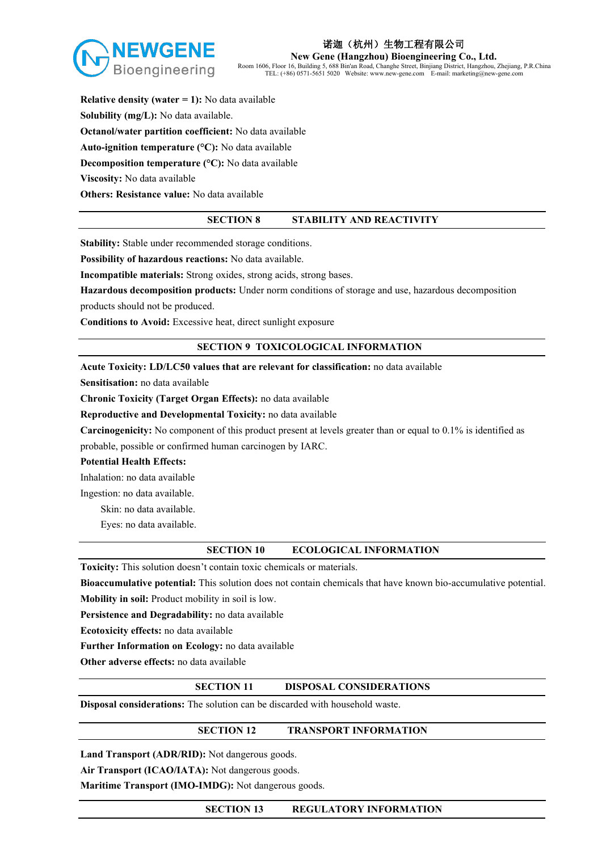

**New Gene (Hangzhou) Bioengineering Co., Ltd.**

Room 1606, Floor 16,Building 5, 688 Bin'an Road, Changhe Street, Binjiang District, Hangzhou, Zhejiang, P.R.China TEL: (+86) 0571-5651 5020 Website: www.new-gene.com E-mail: marketing@new-gene.com

**Relative density (water = 1):** No data available **Solubility (mg/L):** No data available. **Octanol/water partition coefficient:** No data available **Auto-ignition temperature (°C):** No data available **Decomposition temperature (°C):** No data available **Viscosity:** No data available **Others: Resistance value:** No data available

#### **SECTION 8 STABILITY AND REACTIVITY**

**Stability:** Stable under recommended storage conditions.

**Possibility of hazardous reactions:** No data available.

**Incompatible materials:** Strong oxides, strong acids, strong bases.

**Hazardous decomposition products:** Under norm conditions of storage and use, hazardous decomposition

products should not be produced.

**Conditions to Avoid:**Excessive heat, direct sunlight exposure

#### **SECTION 9 TOXICOLOGICAL INFORMATION**

**Acute Toxicity: LD/LC50 values that are relevant for classification:** no data available

**Sensitisation:** no data available

**Chronic Toxicity (Target Organ Effects):** no data available

**Reproductive and Developmental Toxicity:** no data available

**Carcinogenicity:** No component of this product present at levels greater than or equal to 0.1% is identified as probable, possible or confirmed human carcinogen by IARC.

#### **Potential Health Effects:**

Inhalation: no data available

Ingestion: no data available.

Skin: no data available.

Eyes: no data available.

#### **SECTION 10 ECOLOGICAL INFORMATION**

Toxicity: This solution doesn't contain toxic chemicals or materials.

**Bioaccumulative potential:** This solution doesnot contain chemicals that have known bio-accumulative potential. **Mobility in soil:**Product mobility in soil is low.

**Persistence and Degradability:** no data available

**Ecotoxicity effects:** no data available

**Further Information on Ecology:** no data available

**Other adverse effects:** no data available

#### **SECTION 11 DISPOSAL CONSIDERATIONS**

**Disposal considerations:** The solution can be discarded with household waste.

#### **SECTION 12 TRANSPORT INFORMATION**

**Land Transport (ADR/RID):** Not dangerous goods.

**Air Transport (ICAO/IATA):** Not dangerous goods.

**Maritime Transport (IMO-IMDG):** Not dangerous goods.